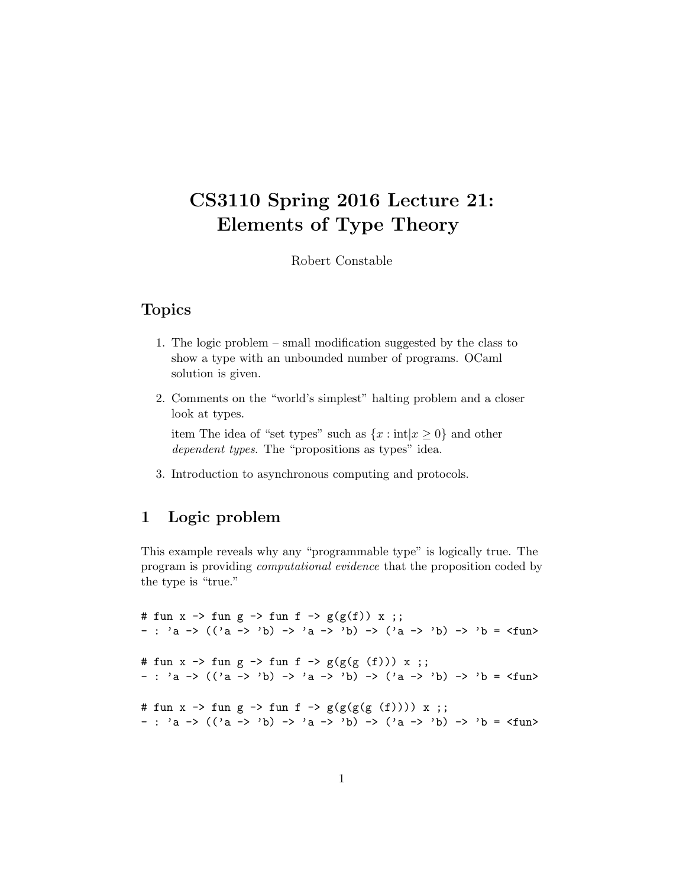### CS3110 Spring 2016 Lecture 21: Elements of Type Theory

Robert Constable

#### Topics

- 1. The logic problem small modification suggested by the class to show a type with an unbounded number of programs. OCaml solution is given.
- 2. Comments on the "world's simplest" halting problem and a closer look at types.

item The idea of "set types" such as  $\{x : \text{int}|x \geq 0\}$  and other dependent types. The "propositions as types" idea.

3. Introduction to asynchronous computing and protocols.

#### 1 Logic problem

This example reveals why any "programmable type" is logically true. The program is providing computational evidence that the proposition coded by the type is "true."

# fun x  $\rightarrow$  fun g  $\rightarrow$  fun f  $\rightarrow$  g(g(f)) x ;; - : 'a ->  $((a -> b) -> a -> b) -> (a -> b) -> b =$ # fun x -> fun g -> fun f ->  $g(g(g(f)))$  x ;; - : 'a ->  $((a -> b) -> a -> b) -> (a -> b) -> b =$ # fun x -> fun g -> fun f ->  $g(g(g(g(f))))$  x ;; - : 'a ->  $((a -> b) -> a -> b) -> (a -> b) -> b =$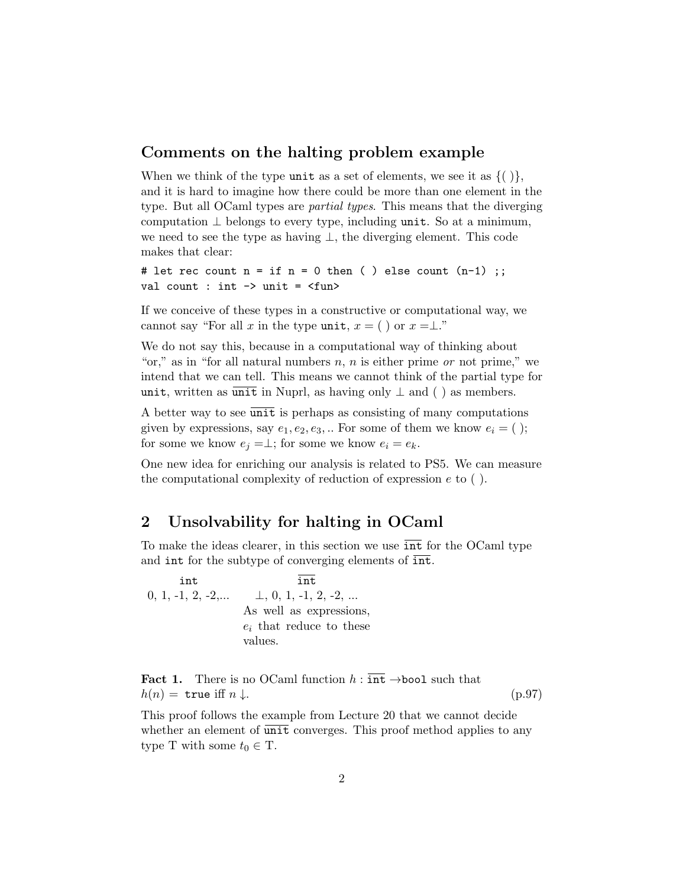#### Comments on the halting problem example

When we think of the type unit as a set of elements, we see it as  $\{() \}$ , and it is hard to imagine how there could be more than one element in the type. But all OCaml types are *partial types*. This means that the diverging computation  $\perp$  belongs to every type, including unit. So at a minimum, we need to see the type as having ⊥, the diverging element. This code makes that clear:

```
# let rec count n = if n = 0 then ( ) else count (n-1);
val count : int \rightarrow unit = \langlefun>
```
If we conceive of these types in a constructive or computational way, we cannot say "For all x in the type unit,  $x = ()$  or  $x = \perp$ ."

We do not say this, because in a computational way of thinking about "or," as in "for all natural numbers  $n, n$  is either prime or not prime," we intend that we can tell. This means we cannot think of the partial type for unit, written as  $\overline{\text{unit}}$  in Nuprl, as having only  $\perp$  and () as members.

A better way to see  $\overline{\text{unit}}$  is perhaps as consisting of many computations given by expressions, say  $e_1, e_2, e_3, \dots$  For some of them we know  $e_i = ( )$ ; for some we know  $e_i = \perp$ ; for some we know  $e_i = e_k$ .

One new idea for enriching our analysis is related to PS5. We can measure the computational complexity of reduction of expression  $e$  to  $( )$ .

#### 2 Unsolvability for halting in OCaml

To make the ideas clearer, in this section we use int for the OCaml type and int for the subtype of converging elements of  $\overline{\text{int}}$ .

int int 0, 1, -1, 2, -2,...  $\perp$ , 0, 1, -1, 2, -2, ... As well as expressions,  $e_i$  that reduce to these values.

**Fact 1.** There is no OCaml function  $h : \overline{\text{int}} \rightarrow \text{bool}$  such that  $h(n) = \text{true iff } n \downarrow.$  (p.97)

This proof follows the example from Lecture 20 that we cannot decide whether an element of unit converges. This proof method applies to any type T with some  $t_0 \in T$ .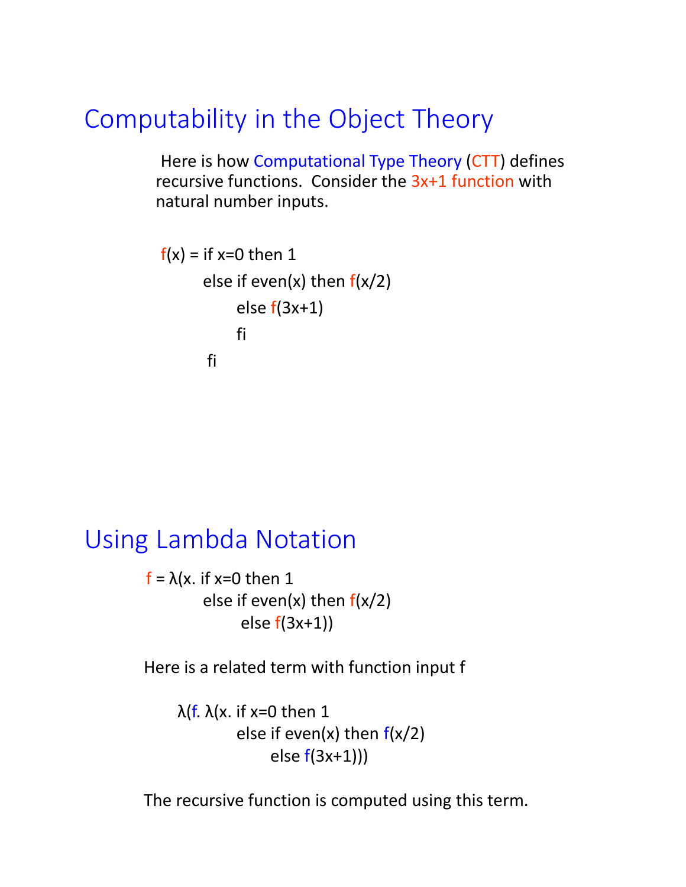# Computability in the Object Theory

Here is how Computational Type Theory (CTT) defines recursive functions. Consider the 3x+1 function with natural number inputs.

```
f(x) = if x=0 then 1
      else if even(x) then f(x/2)else f(3x+1)fi
      fi
```
## Using Lambda Notation

 $f = \lambda(x)$ . if x=0 then 1 else if even(x) then  $f(x/2)$ else f(3x+1))

Here is a related term with function input f

λ(f. λ(x. if x=0 then 1 else if even(x) then  $f(x/2)$ else f(3x+1)))

The recursive function is computed using this term.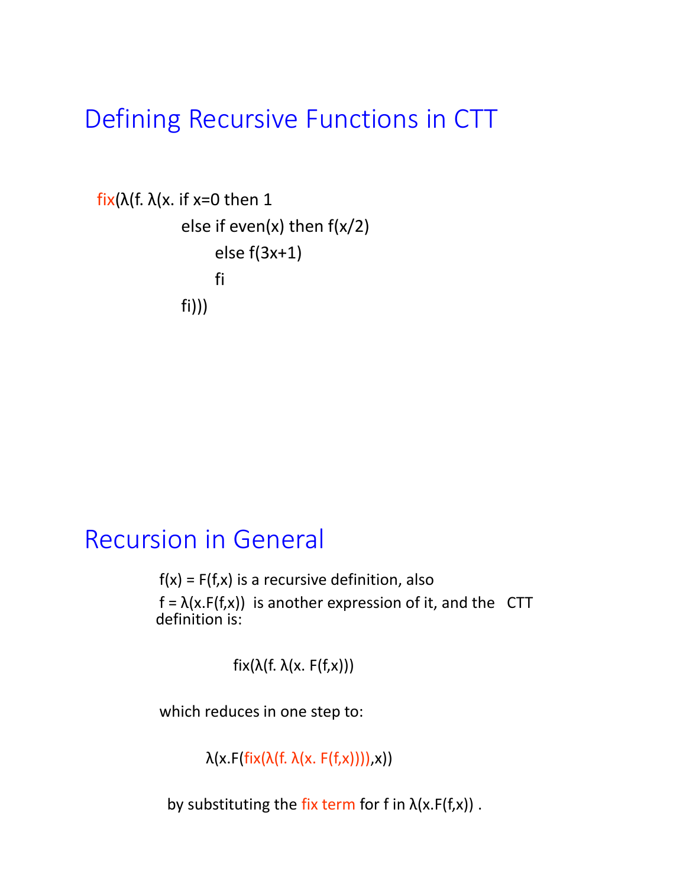# Defining Recursive Functions in CTT

```
fix(λ(f. λ(x. if x=0 then 1
             else if even(x) then f(x/2)
                  else f(3x+1)
                  fi
            fi)))
```
## Recursion in General

 $f(x) = F(f,x)$  is a recursive definition, also  $f = \lambda(x.F(f,x))$  is another expression of it, and the CTT definition is:

 $fix(\lambda(f. \lambda(x. F(f,x))))$ 

which reduces in one step to:

 $\lambda(x.F(fix(\lambda(f.\lambda(x.F(f,x))))),x))$ 

by substituting the fix term for f in  $\lambda(x.F(f,x))$ .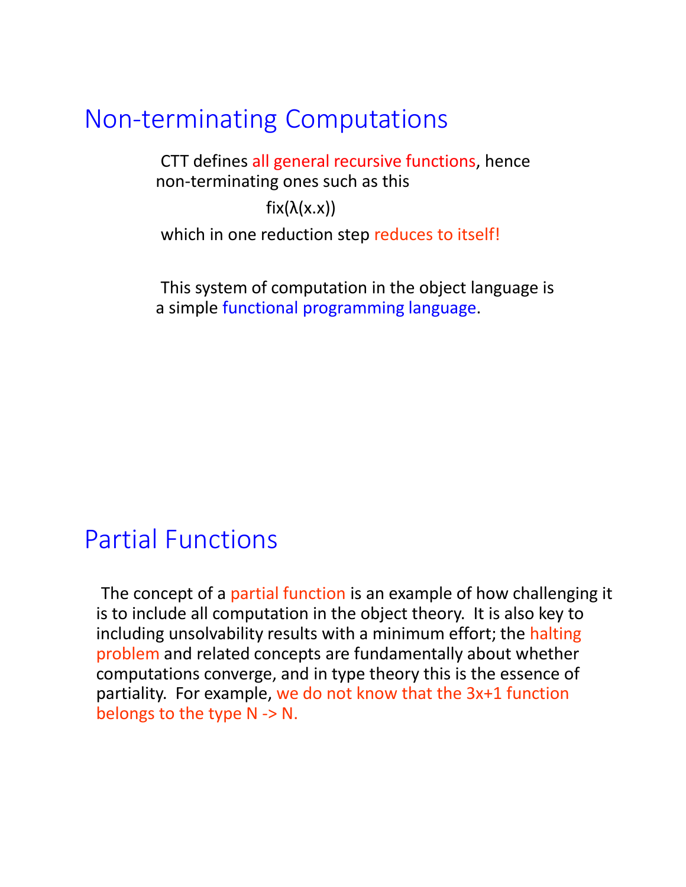## Non-terminating Computations

CTT defines all general recursive functions, hence non-terminating ones such as this

 $fix(\lambda(x.x))$ 

which in one reduction step reduces to itself!

This system of computation in the object language is a simple functional programming language.

## Partial Functions

The concept of a partial function is an example of how challenging it is to include all computation in the object theory. It is also key to including unsolvability results with a minimum effort; the halting problem and related concepts are fundamentally about whether computations converge, and in type theory this is the essence of partiality. For example, we do not know that the 3x+1 function belongs to the type N -> N.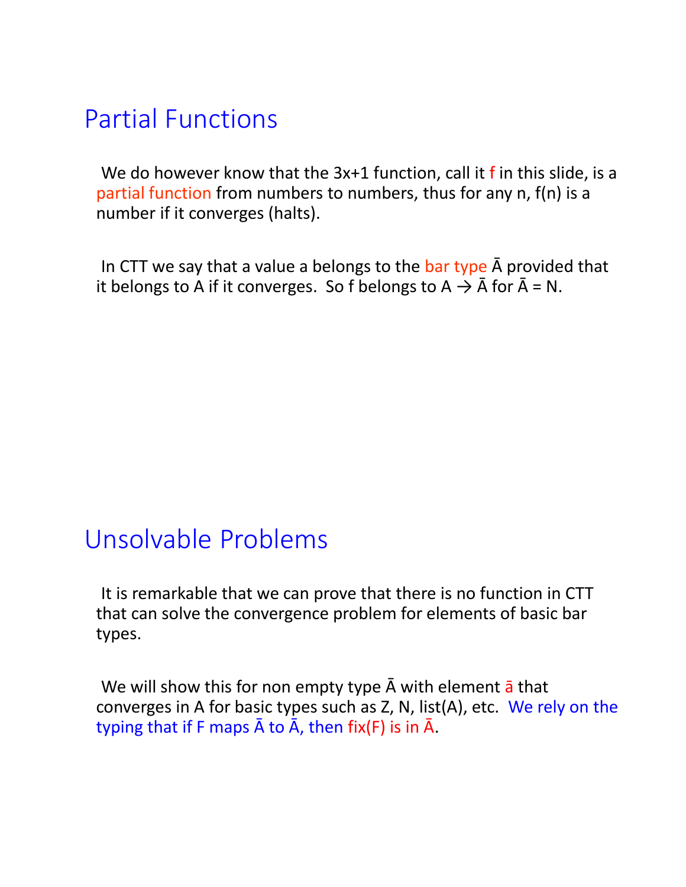# Partial Functions

We do however know that the 3x+1 function, call it f in this slide, is a partial function from numbers to numbers, thus for any n, f(n) is a number if it converges (halts).

In CTT we say that a value a belongs to the bar type  $\bar{A}$  provided that it belongs to A if it converges. So f belongs to  $A \rightarrow \overline{A}$  for  $\overline{A} = N$ .

## Unsolvable Problems

It is remarkable that we can prove that there is no function in CTT that can solve the convergence problem for elements of basic bar types.

We will show this for non empty type  $\bar{A}$  with element  $\bar{a}$  that converges in A for basic types such as Z, N, list(A), etc. We rely on the typing that if F maps  $\bar{A}$  to  $\bar{A}$ , then fix(F) is in  $\bar{A}$ .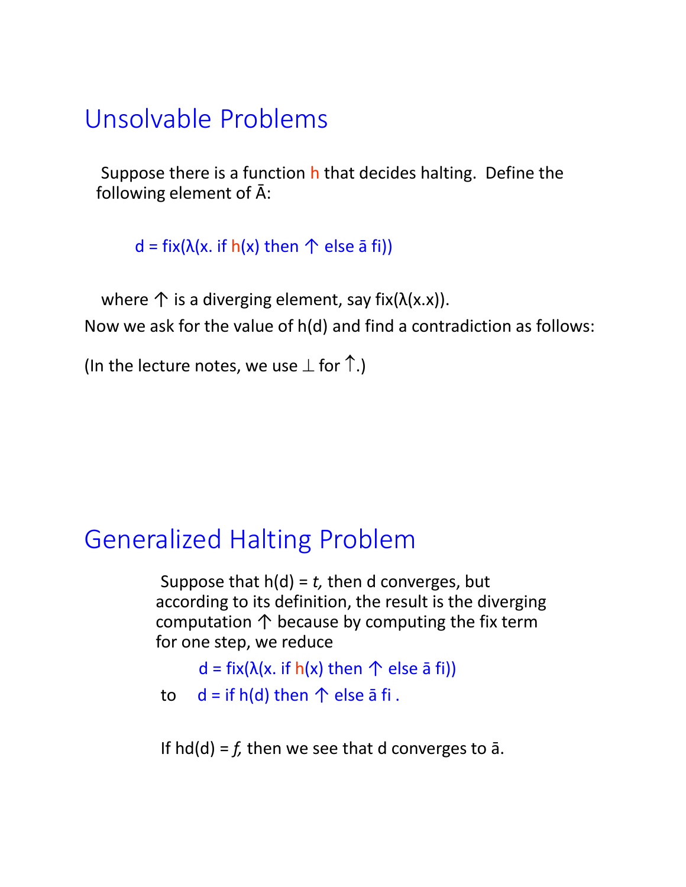# Unsolvable Problems

Suppose there is a function h that decides halting. Define the following element of Ā:

d = fix( $\lambda$ (x. if h(x) then  $\uparrow$  else  $\bar{a}$  fi))

where  $\uparrow$  is a diverging element, say fix( $\lambda$ (x.x)). Now we ask for the value of h(d) and find a contradiction as follows:

(In the lecture notes, we use  $\perp$  for  $\uparrow$ .)

## Generalized Halting Problem

Suppose that h(d) = *t,* then d converges, but according to its definition, the result is the diverging computation  $\uparrow$  because by computing the fix term for one step, we reduce

```
d = fix(\lambda(x. if h(x) then \uparrow else \bar{a} fi))
```

```
to d = if h(d) then \uparrow else \bar{a} fi.
```
If  $hd(d) = f$ , then we see that d converges to  $\bar{a}$ .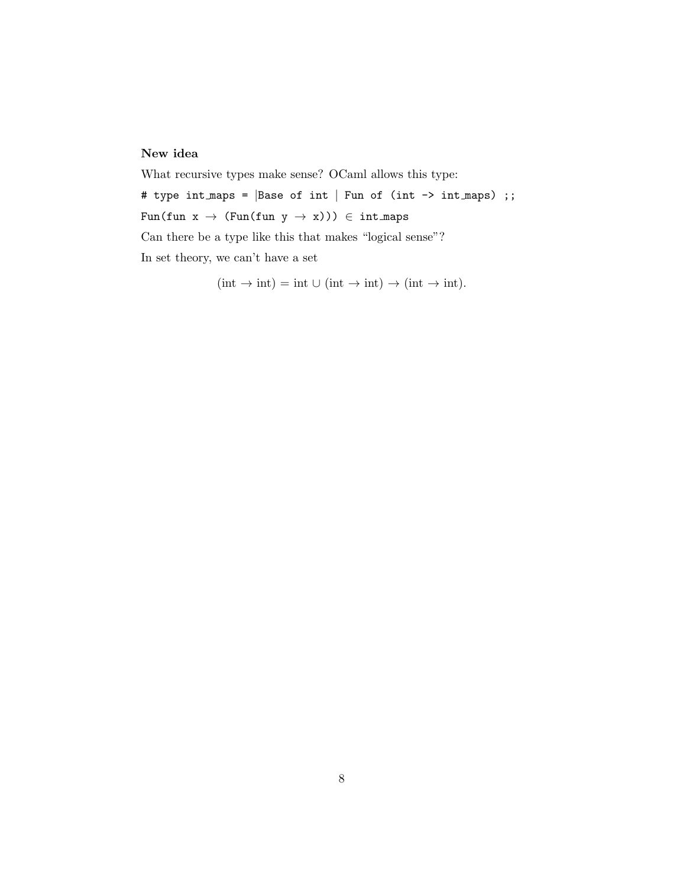#### New idea

What recursive types make sense? OCaml allows this type: # type int\_maps = |Base of int | Fun of (int -> int\_maps) ;; Fun(fun  $x \rightarrow$  (Fun(fun  $y \rightarrow x$ )))  $\in$  int\_maps Can there be a type like this that makes "logical sense"? In set theory, we can't have a set

$$
(\text{int} \to \text{int}) = \text{int} \cup (\text{int} \to \text{int}) \to (\text{int} \to \text{int}).
$$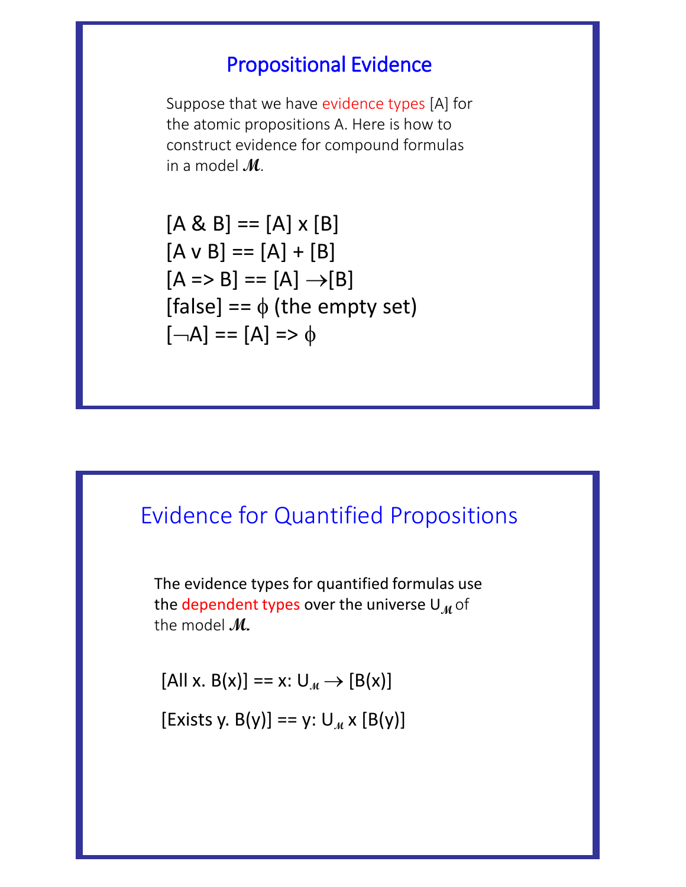### Propositional Evidence

Suppose that we have evidence types [A] for the atomic propositions A. Here is how to construct evidence for compound formulas in a model **M**.

 $[A & B] == [A] \times [B]$  $[A \vee B] == [A] + [B]$  $[A \Rightarrow B] == [A] \rightarrow [B]$ [false] ==  $\phi$  (the empty set)  $\lceil -A \rceil$  ==  $\lceil A \rceil$  =>  $\phi$ 

### Evidence for Quantified Propositions

The evidence types for quantified formulas use the dependent types over the universe  $U_M$  of the model **M.**

 $[AII x. B(x)] == x: U_M \rightarrow [B(x)]$ 

[Exists y. B(y)] == y:  $U_M \times [B(y)]$